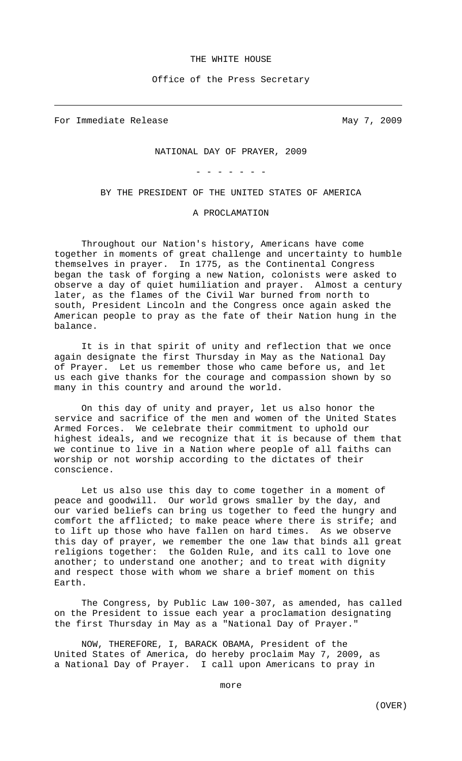## THE WHITE HOUSE

Office of the Press Secretary

For Immediate Release May 7, 2009

NATIONAL DAY OF PRAYER, 2009

- - - - - - -

BY THE PRESIDENT OF THE UNITED STATES OF AMERICA

A PROCLAMATION

 Throughout our Nation's history, Americans have come together in moments of great challenge and uncertainty to humble themselves in prayer. In 1775, as the Continental Congress began the task of forging a new Nation, colonists were asked to observe a day of quiet humiliation and prayer. Almost a century later, as the flames of the Civil War burned from north to south, President Lincoln and the Congress once again asked the American people to pray as the fate of their Nation hung in the balance.

 It is in that spirit of unity and reflection that we once again designate the first Thursday in May as the National Day of Prayer. Let us remember those who came before us, and let us each give thanks for the courage and compassion shown by so many in this country and around the world.

 On this day of unity and prayer, let us also honor the service and sacrifice of the men and women of the United States Armed Forces. We celebrate their commitment to uphold our highest ideals, and we recognize that it is because of them that we continue to live in a Nation where people of all faiths can worship or not worship according to the dictates of their conscience.

 Let us also use this day to come together in a moment of peace and goodwill. Our world grows smaller by the day, and our varied beliefs can bring us together to feed the hungry and comfort the afflicted; to make peace where there is strife; and to lift up those who have fallen on hard times. As we observe this day of prayer, we remember the one law that binds all great religions together: the Golden Rule, and its call to love one another; to understand one another; and to treat with dignity and respect those with whom we share a brief moment on this Earth.

The Congress, by Public Law 100-307, as amended, has called on the President to issue each year a proclamation designating the first Thursday in May as a "National Day of Prayer."

NOW, THEREFORE, I, BARACK OBAMA, President of the United States of America, do hereby proclaim May 7, 2009, as a National Day of Prayer. I call upon Americans to pray in